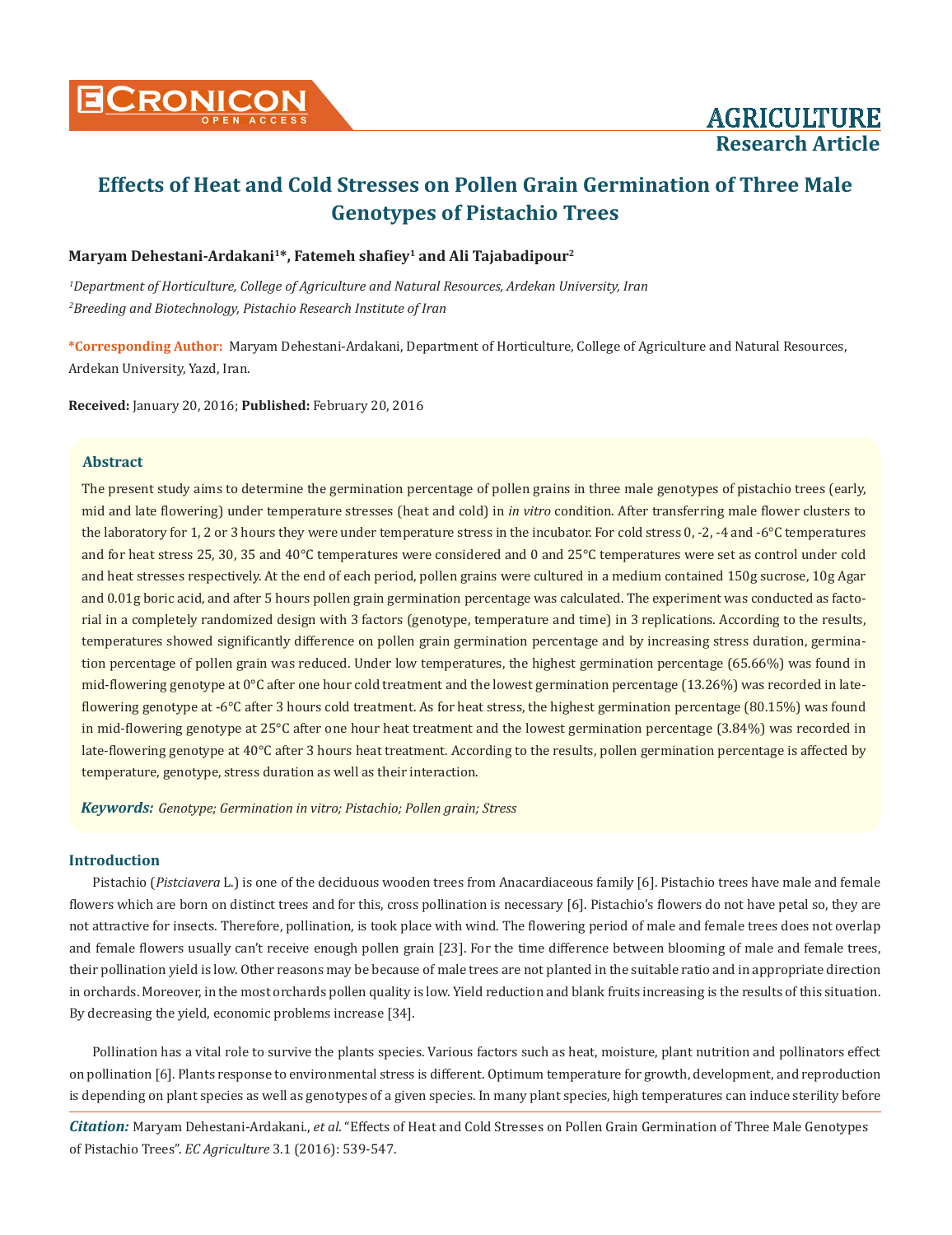

# **Research Article**

# **Effects of Heat and Cold Stresses on Pollen Grain Germination of Three Male Genotypes of Pistachio Trees**

# **Maryam Dehestani-Ardakani1\*, Fatemeh shafiey1 and Ali Tajabadipour2**

*1 Department of Horticulture, College of Agriculture and Natural Resources, Ardekan University, Iran 2 Breeding and Biotechnology, Pistachio Research Institute of Iran*

**\*Corresponding Author:** Maryam Dehestani-Ardakani, Department of Horticulture, College of Agriculture and Natural Resources, Ardekan University, Yazd, Iran.

**Received:** January 20, 2016; **Published:** February 20, 2016

# **Abstract**

The present study aims to determine the germination percentage of pollen grains in three male genotypes of pistachio trees (early, mid and late flowering) under temperature stresses (heat and cold) in *in vitro* condition. After transferring male flower clusters to the laboratory for 1, 2 or 3 hours they were under temperature stress in the incubator. For cold stress 0, -2, -4 and -6°C temperatures and for heat stress 25, 30, 35 and 40°C temperatures were considered and 0 and 25°C temperatures were set as control under cold and heat stresses respectively. At the end of each period, pollen grains were cultured in a medium contained 150g sucrose, 10g Agar and 0.01g boric acid, and after 5 hours pollen grain germination percentage was calculated. The experiment was conducted as factorial in a completely randomized design with 3 factors (genotype, temperature and time) in 3 replications. According to the results, temperatures showed significantly difference on pollen grain germination percentage and by increasing stress duration, germination percentage of pollen grain was reduced. Under low temperatures, the highest germination percentage (65.66%) was found in mid-flowering genotype at 0°C after one hour cold treatment and the lowest germination percentage (13.26%) was recorded in lateflowering genotype at -6°C after 3 hours cold treatment. As for heat stress, the highest germination percentage (80.15%) was found in mid-flowering genotype at 25°C after one hour heat treatment and the lowest germination percentage (3.84%) was recorded in late-flowering genotype at 40°C after 3 hours heat treatment. According to the results, pollen germination percentage is affected by temperature, genotype, stress duration as well as their interaction.

*Keywords: Genotype; Germination in vitro; Pistachio; Pollen grain; Stress*

# **Introduction**

Pistachio (*Pistciavera* L.) is one of the deciduous wooden trees from Anacardiaceous family [6]. Pistachio trees have male and female flowers which are born on distinct trees and for this, cross pollination is necessary [6]. Pistachio's flowers do not have petal so, they are not attractive for insects. Therefore, pollination, is took place with wind. The flowering period of male and female trees does not overlap and female flowers usually can't receive enough pollen grain [23]. For the time difference between blooming of male and female trees, their pollination yield is low. Other reasons may be because of male trees are not planted in the suitable ratio and in appropriate direction in orchards. Moreover, in the most orchards pollen quality is low. Yield reduction and blank fruits increasing is the results of this situation. By decreasing the yield, economic problems increase [34].

Pollination has a vital role to survive the plants species. Various factors such as heat, moisture, plant nutrition and pollinators effect on pollination [6]. Plants response to environmental stress is different. Optimum temperature for growth, development, and reproduction is depending on plant species as well as genotypes of a given species. In many plant species, high temperatures can induce sterility before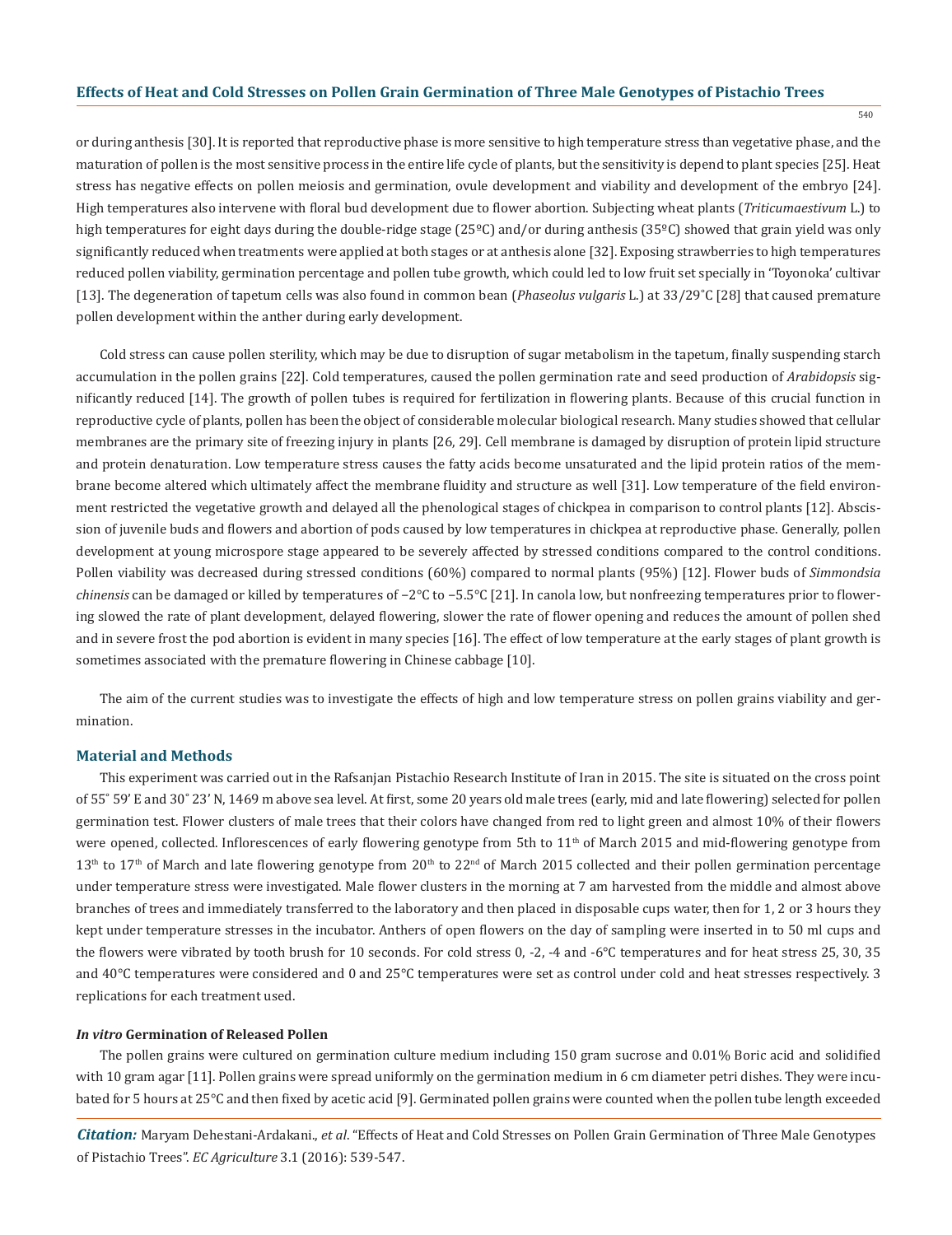540

or during anthesis [30]. It is reported that reproductive phase is more sensitive to high temperature stress than vegetative phase, and the maturation of pollen is the most sensitive process in the entire life cycle of plants, but the sensitivity is depend to plant species [25]. Heat stress has negative effects on pollen meiosis and germination, ovule development and viability and development of the embryo [24]. High temperatures also intervene with floral bud development due to flower abortion. Subjecting wheat plants (*Triticumaestivum* L.) to high temperatures for eight days during the double-ridge stage (25°C) and/or during anthesis (35°C) showed that grain yield was only significantly reduced when treatments were applied at both stages or at anthesis alone [32]. Exposing strawberries to high temperatures reduced pollen viability, germination percentage and pollen tube growth, which could led to low fruit set specially in 'Toyonoka' cultivar [13]. The degeneration of tapetum cells was also found in common bean (*Phaseolus vulgaris* L.) at 33/29˚C [28] that caused premature pollen development within the anther during early development.

Cold stress can cause pollen sterility, which may be due to disruption of sugar metabolism in the tapetum, finally suspending starch accumulation in the pollen grains [22]. Cold temperatures, caused the pollen germination rate and seed production of *Arabidopsis* significantly reduced [14]. The growth of pollen tubes is required for fertilization in flowering plants. Because of this crucial function in reproductive cycle of plants, pollen has been the object of considerable molecular biological research. Many studies showed that cellular membranes are the primary site of freezing injury in plants [26, 29]. Cell membrane is damaged by disruption of protein lipid structure and protein denaturation. Low temperature stress causes the fatty acids become unsaturated and the lipid protein ratios of the membrane become altered which ultimately affect the membrane fluidity and structure as well [31]. Low temperature of the field environment restricted the vegetative growth and delayed all the phenological stages of chickpea in comparison to control plants [12]. Abscission of juvenile buds and flowers and abortion of pods caused by low temperatures in chickpea at reproductive phase. Generally, pollen development at young microspore stage appeared to be severely affected by stressed conditions compared to the control conditions. Pollen viability was decreased during stressed conditions (60%) compared to normal plants (95%) [12]. Flower buds of *Simmondsia chinensis* can be damaged or killed by temperatures of −2°C to −5.5°C [21]. In canola low, but nonfreezing temperatures prior to flowering slowed the rate of plant development, delayed flowering, slower the rate of flower opening and reduces the amount of pollen shed and in severe frost the pod abortion is evident in many species [16]. The effect of low temperature at the early stages of plant growth is sometimes associated with the premature flowering in Chinese cabbage [10].

The aim of the current studies was to investigate the effects of high and low temperature stress on pollen grains viability and germination.

#### **Material and Methods**

This experiment was carried out in the Rafsanjan Pistachio Research Institute of Iran in 2015. The site is situated on the cross point of 55˚ 59' E and 30˚ 23' N, 1469 m above sea level. At first, some 20 years old male trees (early, mid and late flowering) selected for pollen germination test. Flower clusters of male trees that their colors have changed from red to light green and almost 10% of their flowers were opened, collected. Inflorescences of early flowering genotype from 5th to 11<sup>th</sup> of March 2015 and mid-flowering genotype from  $13<sup>th</sup>$  to  $17<sup>th</sup>$  of March and late flowering genotype from  $20<sup>th</sup>$  to  $22<sup>nd</sup>$  of March 2015 collected and their pollen germination percentage under temperature stress were investigated. Male flower clusters in the morning at 7 am harvested from the middle and almost above branches of trees and immediately transferred to the laboratory and then placed in disposable cups water, then for 1, 2 or 3 hours they kept under temperature stresses in the incubator. Anthers of open flowers on the day of sampling were inserted in to 50 ml cups and the flowers were vibrated by tooth brush for 10 seconds. For cold stress 0, -2, -4 and -6°C temperatures and for heat stress 25, 30, 35 and 40°C temperatures were considered and 0 and 25°C temperatures were set as control under cold and heat stresses respectively. 3 replications for each treatment used.

# *In vitro* **Germination of Released Pollen**

The pollen grains were cultured on germination culture medium including 150 gram sucrose and 0.01% Boric acid and solidified with 10 gram agar [11]. Pollen grains were spread uniformly on the germination medium in 6 cm diameter petri dishes. They were incubated for 5 hours at 25°C and then fixed by acetic acid [9]. Germinated pollen grains were counted when the pollen tube length exceeded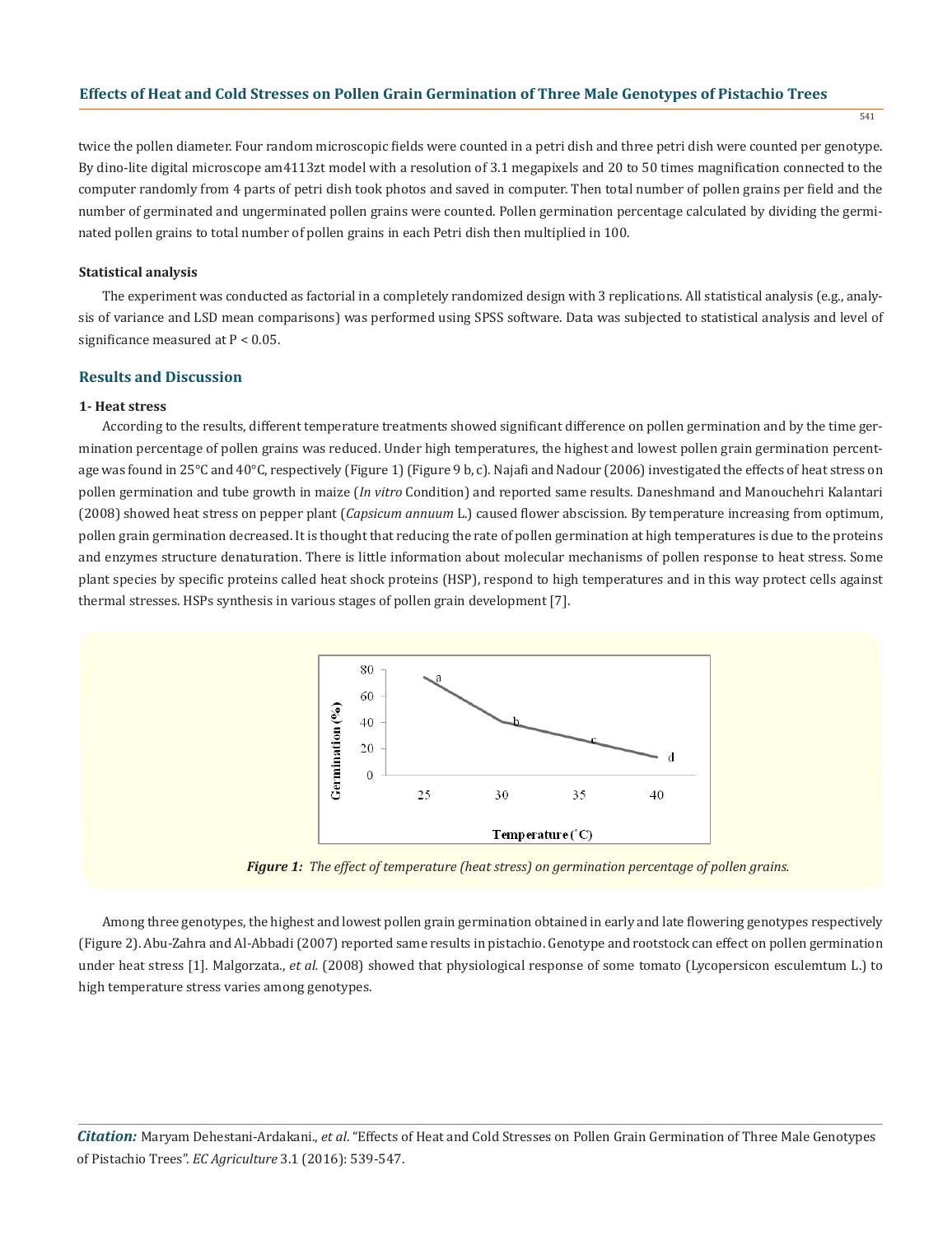541

twice the pollen diameter. Four random microscopic fields were counted in a petri dish and three petri dish were counted per genotype. By dino-lite digital microscope am4113zt model with a resolution of 3.1 megapixels and 20 to 50 times magnification connected to the computer randomly from 4 parts of petri dish took photos and saved in computer. Then total number of pollen grains per field and the number of germinated and ungerminated pollen grains were counted. Pollen germination percentage calculated by dividing the germinated pollen grains to total number of pollen grains in each Petri dish then multiplied in 100.

#### **Statistical analysis**

The experiment was conducted as factorial in a completely randomized design with 3 replications. All statistical analysis (e.g., analysis of variance and LSD mean comparisons) was performed using SPSS software. Data was subjected to statistical analysis and level of significance measured at P < 0.05.

#### **Results and Discussion**

#### **1- Heat stress**

According to the results, different temperature treatments showed significant difference on pollen germination and by the time germination percentage of pollen grains was reduced. Under high temperatures, the highest and lowest pollen grain germination percentage was found in 25°C and 40°C, respectively (Figure 1) (Figure 9 b, c). Najafi and Nadour (2006) investigated the effects of heat stress on pollen germination and tube growth in maize (*In vitro* Condition) and reported same results. Daneshmand and Manouchehri Kalantari (2008) showed heat stress on pepper plant (*Capsicum annuum* L.) caused flower abscission. By temperature increasing from optimum, pollen grain germination decreased. It is thought that reducing the rate of pollen germination at high temperatures is due to the proteins and enzymes structure denaturation. There is little information about molecular mechanisms of pollen response to heat stress. Some plant species by specific proteins called heat shock proteins (HSP), respond to high temperatures and in this way protect cells against thermal stresses. HSPs synthesis in various stages of pollen grain development [7].



*Figure 1: The effect of temperature (heat stress) on germination percentage of pollen grains.*

Among three genotypes, the highest and lowest pollen grain germination obtained in early and late flowering genotypes respectively (Figure 2). Abu-Zahra and Al-Abbadi (2007) reported same results in pistachio. Genotype and rootstock can effect on pollen germination under heat stress [1]. Malgorzata., *et al.* (2008) showed that physiological response of some tomato (Lycopersicon esculemtum L.) to high temperature stress varies among genotypes.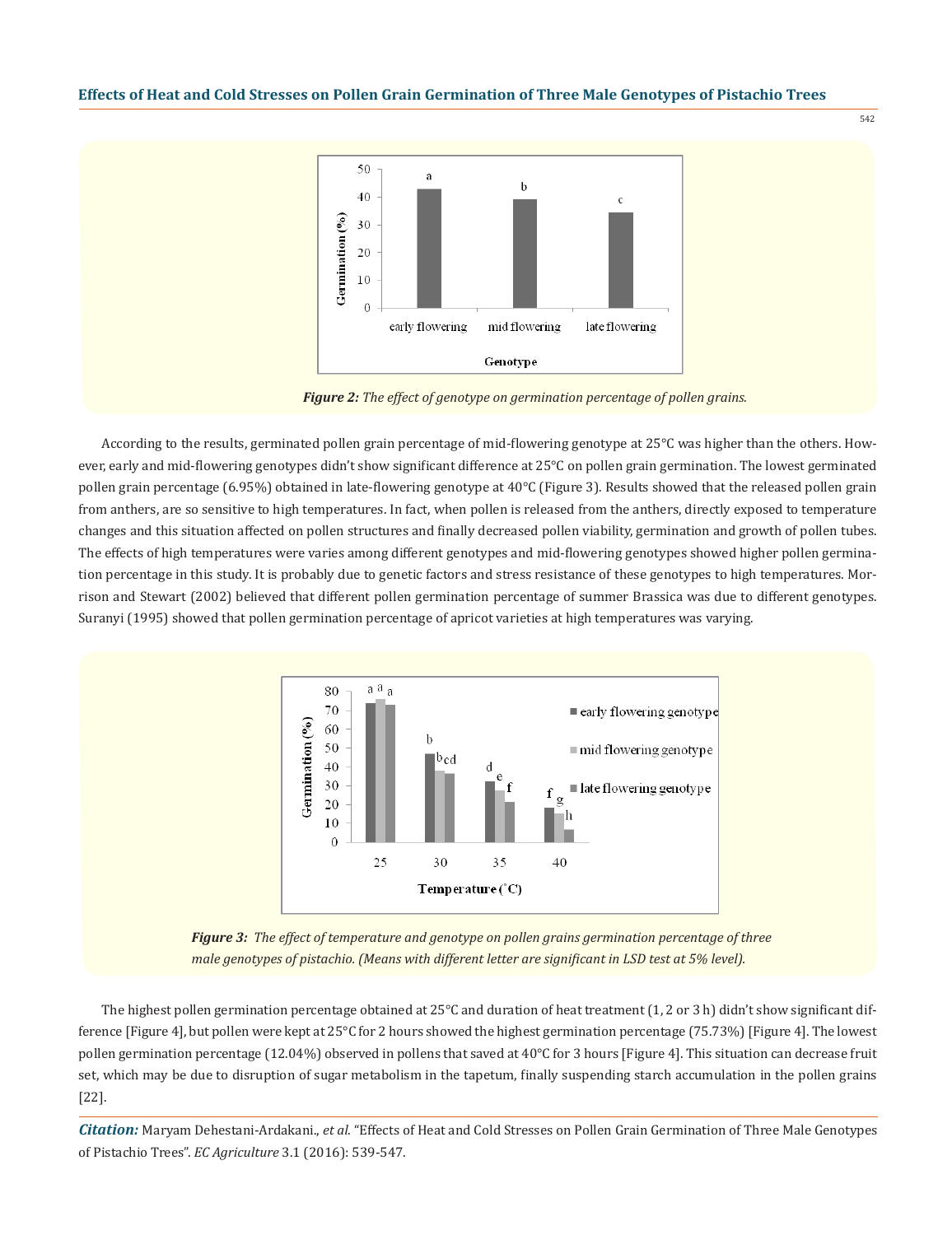



542

*Figure 2: The effect of genotype on germination percentage of pollen grains.*

According to the results, germinated pollen grain percentage of mid-flowering genotype at 25°C was higher than the others. However, early and mid-flowering genotypes didn't show significant difference at 25°C on pollen grain germination. The lowest germinated pollen grain percentage (6.95%) obtained in late-flowering genotype at 40°C (Figure 3). Results showed that the released pollen grain from anthers, are so sensitive to high temperatures. In fact, when pollen is released from the anthers, directly exposed to temperature changes and this situation affected on pollen structures and finally decreased pollen viability, germination and growth of pollen tubes. The effects of high temperatures were varies among different genotypes and mid-flowering genotypes showed higher pollen germination percentage in this study. It is probably due to genetic factors and stress resistance of these genotypes to high temperatures. Morrison and Stewart (2002) believed that different pollen germination percentage of summer Brassica was due to different genotypes. Suranyi (1995) showed that pollen germination percentage of apricot varieties at high temperatures was varying.



*Figure 3: The effect of temperature and genotype on pollen grains germination percentage of three male genotypes of pistachio. (Means with different letter are significant in LSD test at 5% level).*

The highest pollen germination percentage obtained at  $25^{\circ}$ C and duration of heat treatment  $(1, 2 \text{ or } 3 \text{ h})$  didn't show significant difference [Figure 4], but pollen were kept at 25°C for 2 hours showed the highest germination percentage (75.73%) [Figure 4]. The lowest pollen germination percentage (12.04%) observed in pollens that saved at 40°C for 3 hours [Figure 4]. This situation can decrease fruit set, which may be due to disruption of sugar metabolism in the tapetum, finally suspending starch accumulation in the pollen grains [22].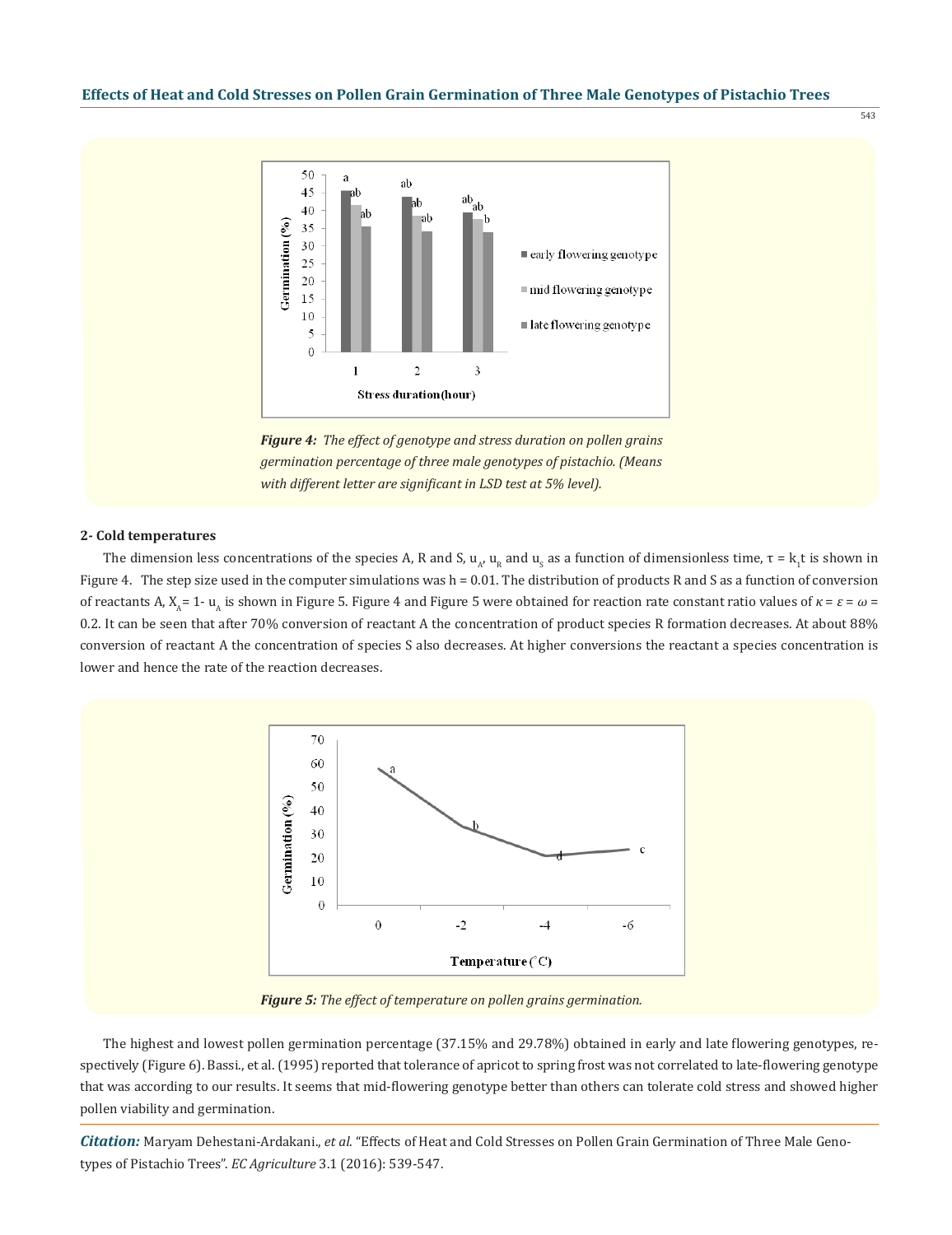



*Figure 4: The effect of genotype and stress duration on pollen grains germination percentage of three male genotypes of pistachio. (Means with different letter are significant in LSD test at 5% level).*

#### **2- Cold temperatures**

The dimension less concentrations of the species A, R and S,  $u_{_A}$ ,  $u_{_R}$  and  $u_{_S}$  as a function of dimensionless time,  $\tau$  =  $\rm k_1$ t is shown in Figure 4. The step size used in the computer simulations was h = 0.01. The distribution of products R and S as a function of conversion of reactants A,  $X_0 = 1 - u_0$  is shown in Figure 5. Figure 4 and Figure 5 were obtained for reaction rate constant ratio values of  $κ = ε = ω$ 0.2. It can be seen that after 70% conversion of reactant A the concentration of product species R formation decreases. At about 88% conversion of reactant A the concentration of species S also decreases. At higher conversions the reactant a species concentration is lower and hence the rate of the reaction decreases.



*Figure 5: The effect of temperature on pollen grains germination.*

The highest and lowest pollen germination percentage (37.15% and 29.78%) obtained in early and late flowering genotypes, respectively (Figure 6). Bassi., et al. (1995) reported that tolerance of apricot to spring frost was not correlated to late-flowering genotype that was according to our results. It seems that mid-flowering genotype better than others can tolerate cold stress and showed higher pollen viability and germination.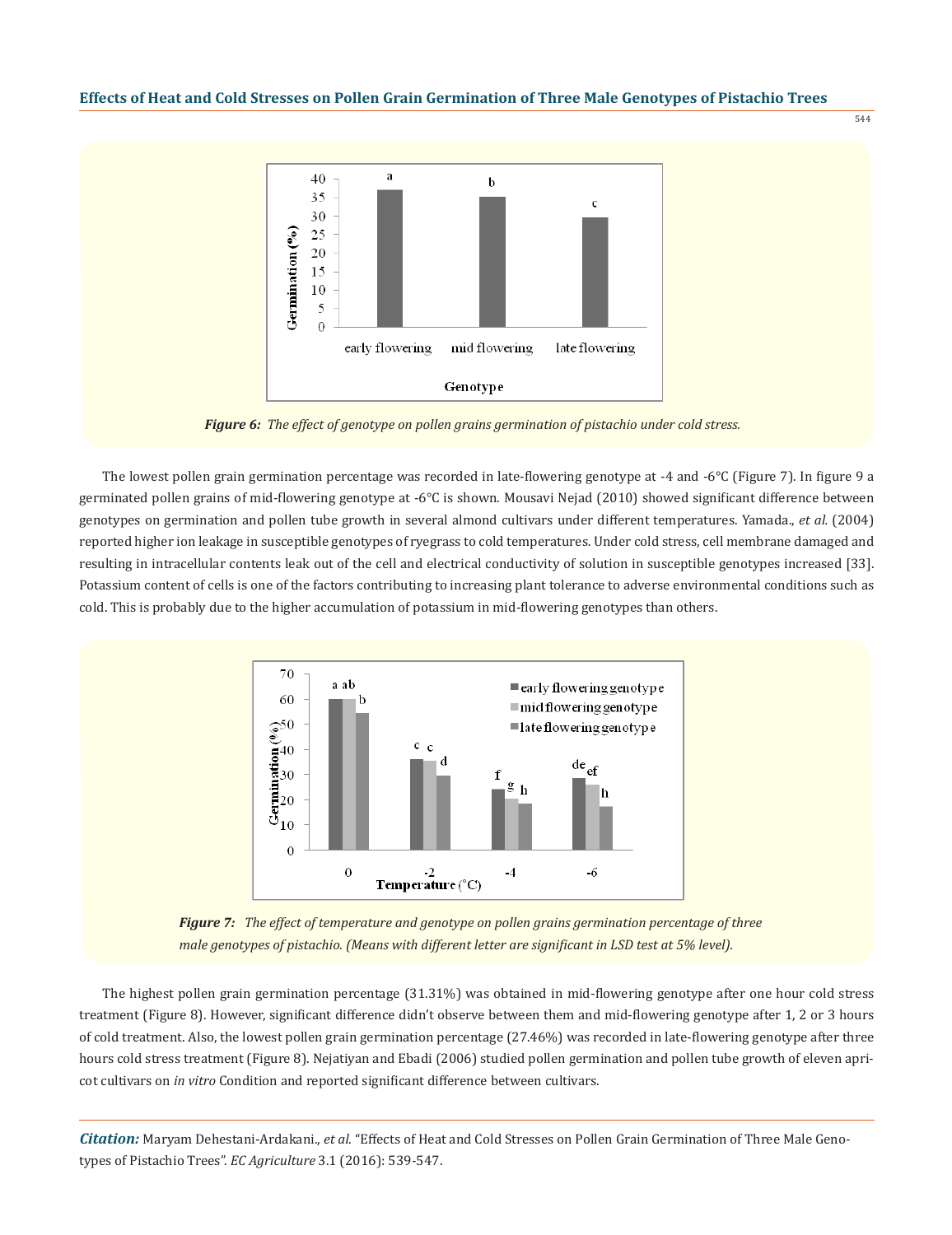

*Figure 6: The effect of genotype on pollen grains germination of pistachio under cold stress.*

The lowest pollen grain germination percentage was recorded in late-flowering genotype at -4 and -6°C (Figure 7). In figure 9 a germinated pollen grains of mid-flowering genotype at -6°C is shown. Mousavi Nejad (2010) showed significant difference between genotypes on germination and pollen tube growth in several almond cultivars under different temperatures. Yamada., *et al.* (2004) reported higher ion leakage in susceptible genotypes of ryegrass to cold temperatures. Under cold stress, cell membrane damaged and resulting in intracellular contents leak out of the cell and electrical conductivity of solution in susceptible genotypes increased [33]. Potassium content of cells is one of the factors contributing to increasing plant tolerance to adverse environmental conditions such as cold. This is probably due to the higher accumulation of potassium in mid-flowering genotypes than others.



*Figure 7: The effect of temperature and genotype on pollen grains germination percentage of three male genotypes of pistachio. (Means with different letter are significant in LSD test at 5% level).*

The highest pollen grain germination percentage (31.31%) was obtained in mid-flowering genotype after one hour cold stress treatment (Figure 8). However, significant difference didn't observe between them and mid-flowering genotype after 1, 2 or 3 hours of cold treatment. Also, the lowest pollen grain germination percentage (27.46%) was recorded in late-flowering genotype after three hours cold stress treatment (Figure 8). Nejatiyan and Ebadi (2006) studied pollen germination and pollen tube growth of eleven apricot cultivars on *in vitro* Condition and reported significant difference between cultivars.

*Citation:* Maryam Dehestani-Ardakani., *et al*. "Effects of Heat and Cold Stresses on Pollen Grain Germination of Three Male Genotypes of Pistachio Trees". *EC Agriculture* 3.1 (2016): 539-547.

544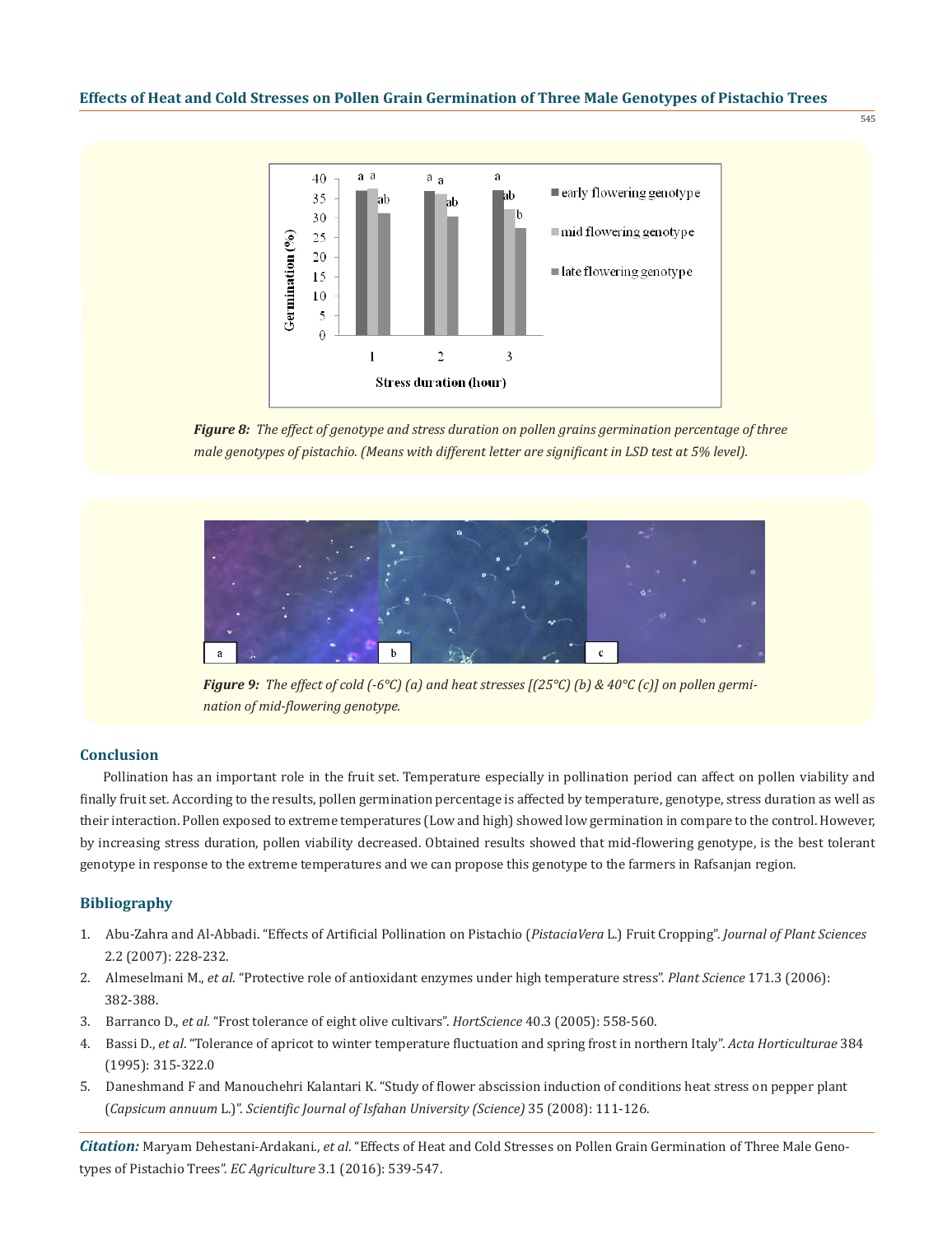

*Figure 8: The effect of genotype and stress duration on pollen grains germination percentage of three male genotypes of pistachio. (Means with different letter are significant in LSD test at 5% level).*



*Figure 9: The effect of cold (-6°C) (a) and heat stresses [(25°C) (b) & 40°C (c)] on pollen germination of mid-flowering genotype.*

# **Conclusion**

Pollination has an important role in the fruit set. Temperature especially in pollination period can affect on pollen viability and finally fruit set. According to the results, pollen germination percentage is affected by temperature, genotype, stress duration as well as their interaction. Pollen exposed to extreme temperatures (Low and high) showed low germination in compare to the control. However, by increasing stress duration, pollen viability decreased. Obtained results showed that mid-flowering genotype, is the best tolerant genotype in response to the extreme temperatures and we can propose this genotype to the farmers in Rafsanjan region.

# **Bibliography**

- 1. Abu-Zahra and Al-Abbadi. "Effects of Artificial Pollination on Pistachio (*PistaciaVera* L.) Fruit Cropping". *Journal of Plant Sciences* 2.2 (2007): 228-232.
- 2. Almeselmani M., *et al*. "Protective role of antioxidant enzymes under high temperature stress". *Plant Science* 171.3 (2006): 382-388.
- 3. Barranco D., *et al.* "Frost tolerance of eight olive cultivars". *HortScience* 40.3 (2005): 558-560.
- 4. Bassi D., *et al*. "Tolerance of apricot to winter temperature fluctuation and spring frost in northern Italy". *Acta Horticulturae* 384 (1995): 315-322.0
- 5. Daneshmand F and Manouchehri Kalantari K. "Study of flower abscission induction of conditions heat stress on pepper plant (*Capsicum annuum* L.)". *Scientific Journal of Isfahan University (Science)* 35 (2008): 111-126.

*Citation:* Maryam Dehestani-Ardakani., *et al*. "Effects of Heat and Cold Stresses on Pollen Grain Germination of Three Male Genotypes of Pistachio Trees". *EC Agriculture* 3.1 (2016): 539-547.

 $545$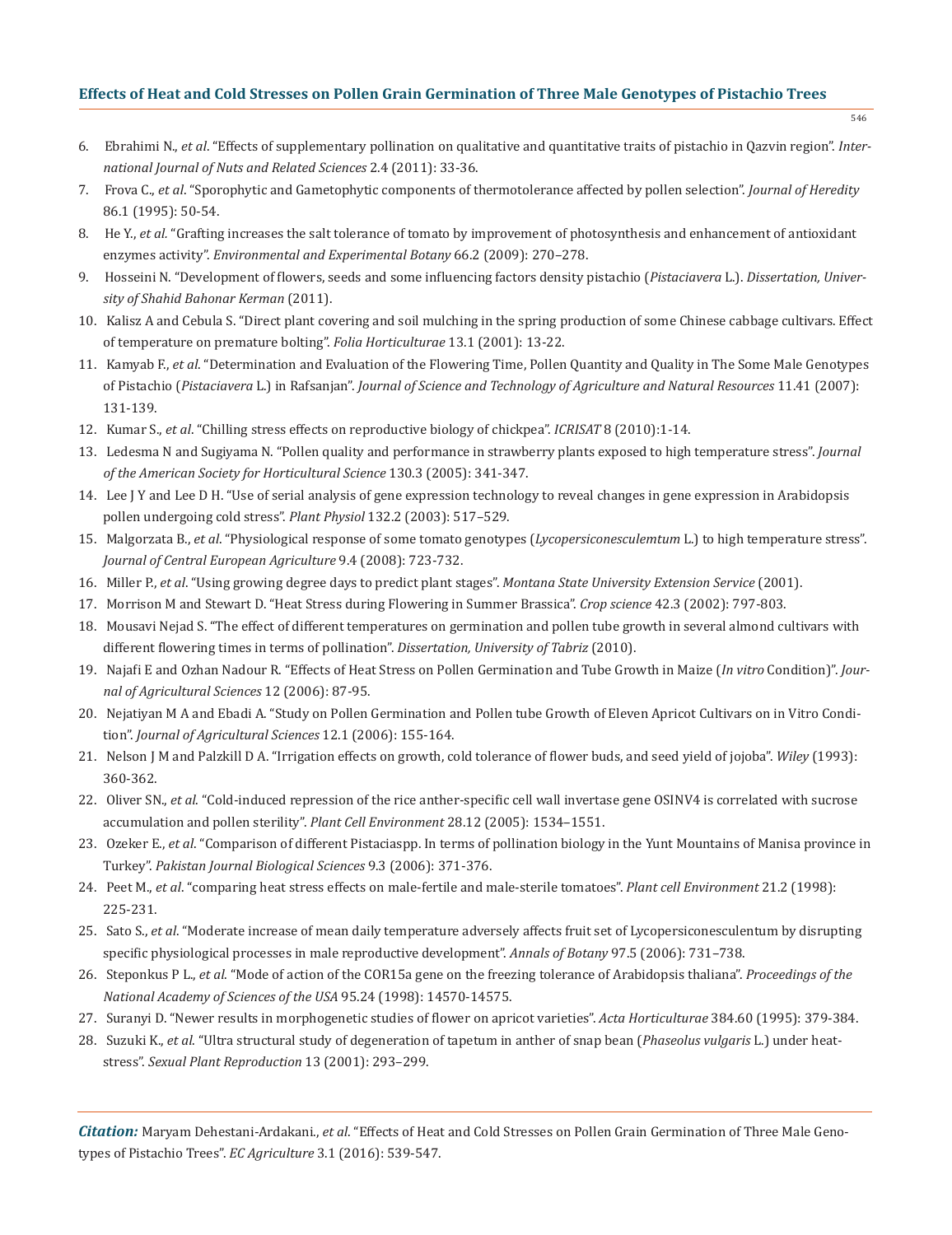- 6. Ebrahimi N., *et al*. "Effects of supplementary pollination on qualitative and quantitative traits of pistachio in Qazvin region". *Inter national Journal of Nuts and Related Sciences* 2.4 (2011): 33-36.
- 7. Frova C., *et al*. "Sporophytic and Gametophytic components of thermotolerance affected by pollen selection". *Journal of Heredity* 86.1 (1995): 50-54.
- 8. He Y., *et al.* "Grafting increases the salt tolerance of tomato by improvement of photosynthesis and enhancement of antioxidant enzymes activity". *Environmental and Experimental Botany* 66.2 (2009): 270–278.
- 9. Hosseini N. "Development of flowers, seeds and some influencing factors density pistachio (*Pistaciavera* L.). *Dissertation, Univer sity of Shahid Bahonar Kerman* (2011).
- 10. Kalisz A and Cebula S. "Direct plant covering and soil mulching in the spring production of some Chinese cabbage cultivars. Effect of temperature on premature bolting". *Folia Horticulturae* 13.1 (2001): 13-22.
- 11. Kamyab F., *et al*. "Determination and Evaluation of the Flowering Time, Pollen Quantity and Quality in The Some Male Genotypes of Pistachio (*Pistaciavera* L.) in Rafsanjan". *Journal of Science and Technology of Agriculture and Natural Resources* 11.41 (2007): 131-139.
- 12. Kumar S., *et al*. "Chilling stress effects on reproductive biology of chickpea". *ICRISAT* 8 (2010):1-14.
- 13. Ledesma N and Sugiyama N. "Pollen quality and performance in strawberry plants exposed to high temperature stress". *Journal of the American Society for Horticultural Science* 130.3 (2005): 341-347.
- 14. Lee J Y and Lee D H. "Use of serial analysis of gene expression technology to reveal changes in gene expression in Arabidopsis pollen undergoing cold stress". *Plant Physiol* 132.2 (2003): 517–529.
- 15. Malgorzata B., *et al*. "Physiological response of some tomato genotypes (*Lycopersiconesculemtum* L.) to high temperature stress". *Journal of Central European Agriculture* 9.4 (2008): 723-732.
- 16. Miller P., *et al*. "Using growing degree days to predict plant stages". *Montana State University Extension Service* (2001).
- 17. Morrison M and Stewart D. "Heat Stress during Flowering in Summer Brassica". *Crop science* 42.3 (2002): 797-803.
- 18. Mousavi Nejad S. "The effect of different temperatures on germination and pollen tube growth in several almond cultivars with different flowering times in terms of pollination". *Dissertation, University of Tabriz* (2010).
- 19. Najafi E and Ozhan Nadour R. "Effects of Heat Stress on Pollen Germination and Tube Growth in Maize (*In vitro* Condition)". *Jour nal of Agricultural Sciences* 12 (2006): 87-95.
- 20. Nejatiyan M A and Ebadi A. "Study on Pollen Germination and Pollen tube Growth of Eleven Apricot Cultivars on in Vitro Condi tion". *Journal of Agricultural Sciences* 12.1 (2006): 155-164.
- 21. Nelson J M and Palzkill D A. "Irrigation effects on growth, cold tolerance of flower buds, and seed yield of jojoba". *Wiley* (1993): 360-362.
- 22. Oliver SN., *et al*. "Cold-induced repression of the rice anther-specific cell wall invertase gene OSINV4 is correlated with sucrose accumulation and pollen sterility". *Plant Cell Environment* 28.12 (2005): 1534–1551.
- 23. Ozeker E., *et al*. "Comparison of different Pistaciaspp. In terms of pollination biology in the Yunt Mountains of Manisa province in Turkey". *Pakistan Journal Biological Sciences* 9.3 (2006): 371-376.
- 24. Peet M., *et al*. "comparing heat stress effects on male-fertile and male-sterile tomatoes". *Plant cell Environment* 21.2 (1998): 225-231.
- 25. Sato S., *et al*. "Moderate increase of mean daily temperature adversely affects fruit set of Lycopersiconesculentum by disrupting specific physiological processes in male reproductive development". *Annals of Botany* 97.5 (2006): 731–738.
- 26. Steponkus P L., *et al*. "Mode of action of the COR15a gene on the freezing tolerance of Arabidopsis thaliana". *Proceedings of the National Academy of Sciences of the USA* 95.24 (1998): 14570-14575.
- 27. Suranyi D. "Newer results in morphogenetic studies of flower on apricot varieties". *Acta Horticulturae* 384.60 (1995): 379-384.
- 28. Suzuki K., *et al*. "Ultra structural study of degeneration of tapetum in anther of snap bean (*Phaseolus vulgaris* L.) under heat stress". *Sexual Plant Reproduction* 13 (2001): 293–299.

*Citation:* Maryam Dehestani-Ardakani., *et al*. "Effects of Heat and Cold Stresses on Pollen Grain Germination of Three Male Genotypes of Pistachio Trees". *EC Agriculture* 3.1 (2016): 539-547.

546